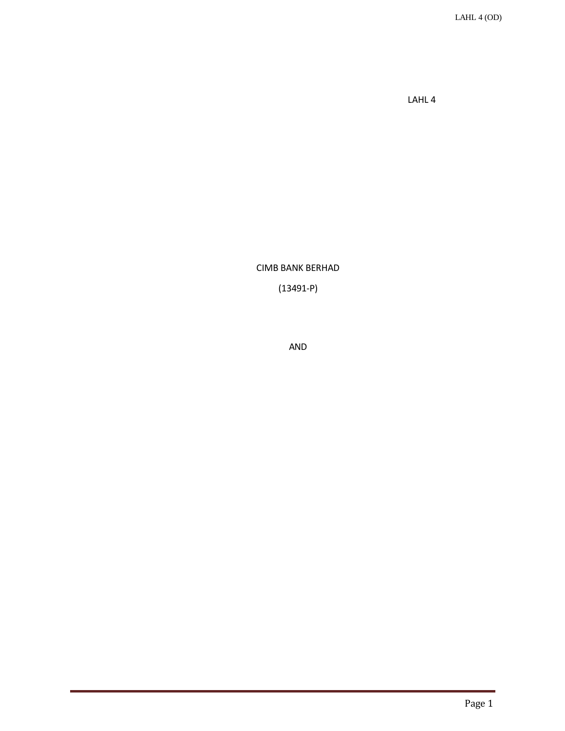LAHL 4 (OD)

LAHL 4

CIMB BANK BERHAD

(13491-P)

AND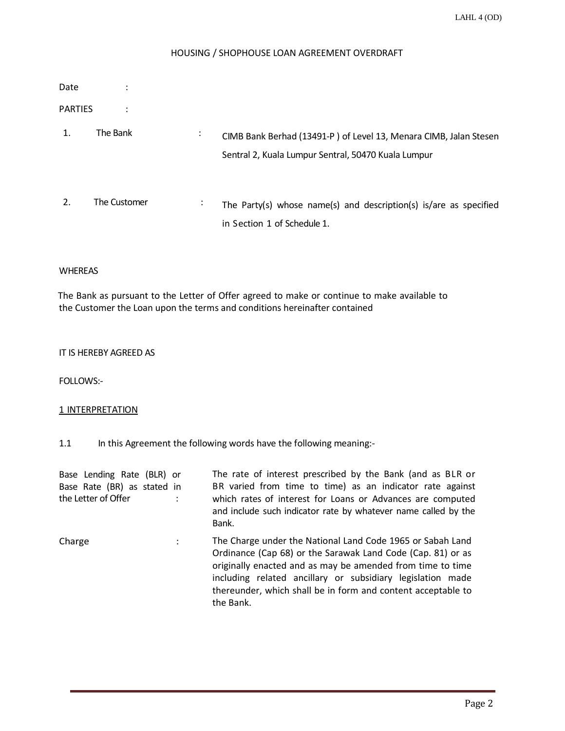# HOUSING / SHOPHOUSE LOAN AGREEMENT OVERDRAFT

| Date           |              |                |                                                                                                                          |
|----------------|--------------|----------------|--------------------------------------------------------------------------------------------------------------------------|
| <b>PARTIES</b> |              |                |                                                                                                                          |
| 1.             | The Bank     | ٠<br>$\bullet$ | CIMB Bank Berhad (13491-P) of Level 13, Menara CIMB, Jalan Stesen<br>Sentral 2, Kuala Lumpur Sentral, 50470 Kuala Lumpur |
|                | The Customer | $\cdot$        | The Party(s) whose name(s) and description(s) is/are as specified<br>in Section 1 of Schedule 1.                         |

### WHEREAS

The Bank as pursuant to the Letter of Offer agreed to make or continue to make available to the Customer the Loan upon the terms and conditions hereinafter contained

### IT IS HEREBY AGREED AS

FOLLOWS:-

### 1 INTERPRETATION

1.1 In this Agreement the following words have the following meaning:-

| Base Lending Rate (BLR) or<br>Base Rate (BR) as stated in<br>the Letter of Offer |   | The rate of interest prescribed by the Bank (and as BLR or<br>BR varied from time to time) as an indicator rate against<br>which rates of interest for Loans or Advances are computed<br>and include such indicator rate by whatever name called by the<br>Bank.                                                                   |
|----------------------------------------------------------------------------------|---|------------------------------------------------------------------------------------------------------------------------------------------------------------------------------------------------------------------------------------------------------------------------------------------------------------------------------------|
| Charge                                                                           | ÷ | The Charge under the National Land Code 1965 or Sabah Land<br>Ordinance (Cap 68) or the Sarawak Land Code (Cap. 81) or as<br>originally enacted and as may be amended from time to time<br>including related ancillary or subsidiary legislation made<br>thereunder, which shall be in form and content acceptable to<br>the Bank. |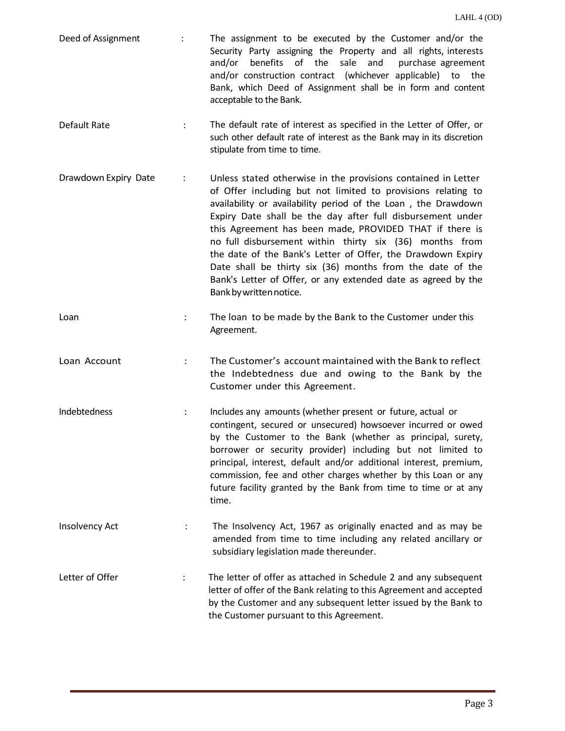- Deed of Assignment : The assignment to be executed by the Customer and/or the Security Party assigning the Property and all rights, interests and/or benefits of the sale and purchase agreement and/or construction contract (whichever applicable) to the Bank, which Deed of Assignment shall be in form and content acceptable to the Bank.
- Default Rate : The default rate of interest as specified in the Letter of Offer, or such other default rate of interest as the Bank may in its discretion stipulate from time to time.
- Drawdown Expiry Date : Unless stated otherwise in the provisions contained in Letter of Offer including but not limited to provisions relating to availability or availability period of the Loan , the Drawdown Expiry Date shall be the day after full disbursement under this Agreement has been made, PROVIDED THAT if there is no full disbursement within thirty six (36) months from the date of the Bank's Letter of Offer, the Drawdown Expiry Date shall be thirty six (36) months from the date of the Bank's Letter of Offer, or any extended date as agreed by the Bankbywrittennotice.
- Loan **Example 20 The Loan to be made by the Bank to the Customer under this** Agreement.
- Loan Account : The Customer's account maintained with the Bank to reflect the Indebtedness due and owing to the Bank by the Customer under this Agreement.
- Indebtedness : Includes any amounts (whether present or future, actual or contingent, secured or unsecured) howsoever incurred or owed by the Customer to the Bank (whether as principal, surety, borrower or security provider) including but not limited to principal, interest, default and/or additional interest, premium, commission, fee and other charges whether by this Loan or any future facility granted by the Bank from time to time or at any time.
- Insolvency Act : The Insolvency Act, 1967 as originally enacted and as may be amended from time to time including any related ancillary or subsidiary legislation made thereunder.
- Letter of Offer **intelletter of offer as attached in Schedule 2 and any subsequent** letter of offer of the Bank relating to this Agreement and accepted by the Customer and any subsequent letter issued by the Bank to the Customer pursuant to this Agreement.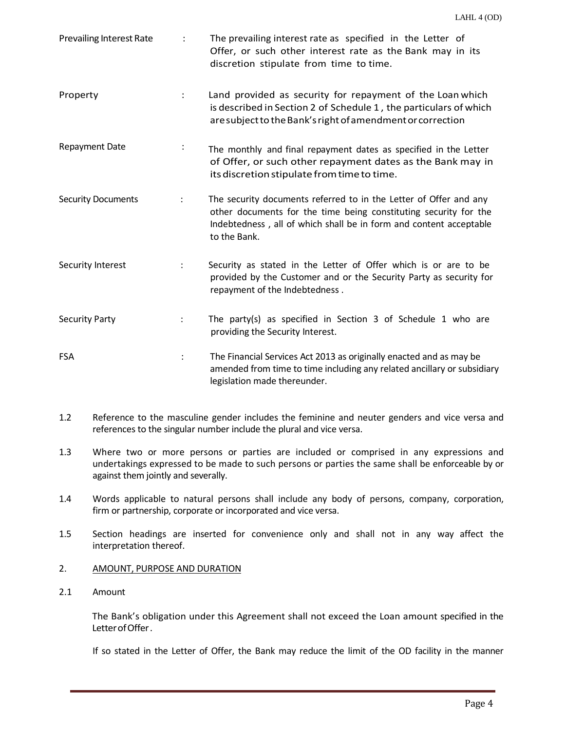| <b>Prevailing Interest Rate</b> |                      | The prevailing interest rate as specified in the Letter of<br>Offer, or such other interest rate as the Bank may in its<br>discretion stipulate from time to time.                                                          |
|---------------------------------|----------------------|-----------------------------------------------------------------------------------------------------------------------------------------------------------------------------------------------------------------------------|
| Property                        | $\ddot{\phantom{a}}$ | Land provided as security for repayment of the Loan which<br>is described in Section 2 of Schedule 1, the particulars of which<br>are subject to the Bank's right of amendment or correction                                |
| <b>Repayment Date</b>           | ÷                    | The monthly and final repayment dates as specified in the Letter<br>of Offer, or such other repayment dates as the Bank may in<br>its discretion stipulate from time to time.                                               |
| <b>Security Documents</b>       | $\ddot{\phantom{a}}$ | The security documents referred to in the Letter of Offer and any<br>other documents for the time being constituting security for the<br>Indebtedness, all of which shall be in form and content acceptable<br>to the Bank. |
| Security Interest               |                      | Security as stated in the Letter of Offer which is or are to be<br>provided by the Customer and or the Security Party as security for<br>repayment of the Indebtedness.                                                     |
| <b>Security Party</b>           |                      | The party(s) as specified in Section 3 of Schedule 1 who are<br>providing the Security Interest.                                                                                                                            |
| <b>FSA</b>                      | $\ddot{\cdot}$       | The Financial Services Act 2013 as originally enacted and as may be<br>amended from time to time including any related ancillary or subsidiary<br>legislation made thereunder.                                              |

- 1.2 Reference to the masculine gender includes the feminine and neuter genders and vice versa and references to the singular number include the plural and vice versa.
- 1.3 Where two or more persons or parties are included or comprised in any expressions and undertakings expressed to be made to such persons or parties the same shall be enforceable by or against them jointly and severally.
- 1.4 Words applicable to natural persons shall include any body of persons, company, corporation, firm or partnership, corporate or incorporated and vice versa.
- 1.5 Section headings are inserted for convenience only and shall not in any way affect the interpretation thereof.

# 2. AMOUNT, PURPOSE AND DURATION

2.1 Amount

The Bank's obligation under this Agreement shall not exceed the Loan amount specified in the LetterofOffer.

If so stated in the Letter of Offer, the Bank may reduce the limit of the OD facility in the manner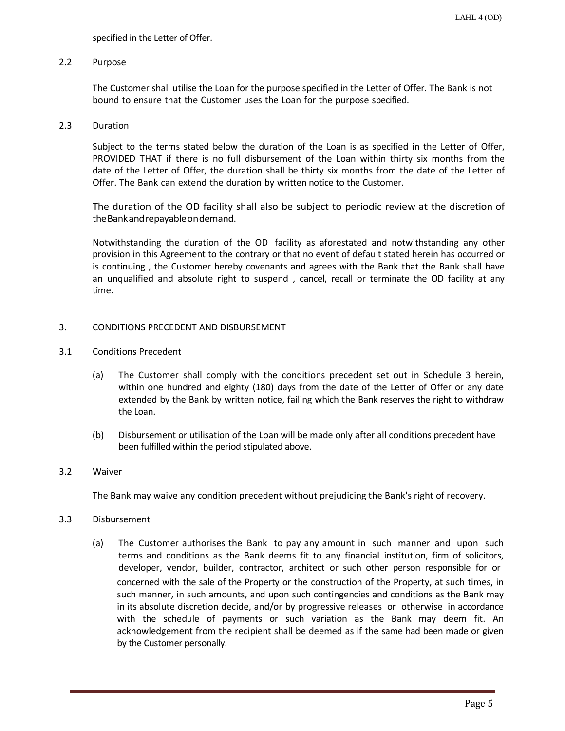specified in the Letter of Offer.

### 2.2 Purpose

The Customer shall utilise the Loan for the purpose specified in the Letter of Offer. The Bank is not bound to ensure that the Customer uses the Loan for the purpose specified.

#### 2.3 Duration

Subject to the terms stated below the duration of the Loan is as specified in the Letter of Offer, PROVIDED THAT if there is no full disbursement of the Loan within thirty six months from the date of the Letter of Offer, the duration shall be thirty six months from the date of the Letter of Offer. The Bank can extend the duration by written notice to the Customer.

The duration of the OD facility shall also be subject to periodic review at the discretion of theBankandrepayableondemand.

Notwithstanding the duration of the OD facility as aforestated and notwithstanding any other provision in this Agreement to the contrary or that no event of default stated herein has occurred or is continuing , the Customer hereby covenants and agrees with the Bank that the Bank shall have an unqualified and absolute right to suspend , cancel, recall or terminate the OD facility at any time.

### 3. CONDITIONS PRECEDENT AND DISBURSEMENT

- 3.1 Conditions Precedent
	- (a) The Customer shall comply with the conditions precedent set out in Schedule 3 herein, within one hundred and eighty (180) days from the date of the Letter of Offer or any date extended by the Bank by written notice, failing which the Bank reserves the right to withdraw the Loan.
	- (b) Disbursement or utilisation of the Loan will be made only after all conditions precedent have been fulfilled within the period stipulated above.

# 3.2 Waiver

The Bank may waive any condition precedent without prejudicing the Bank's right of recovery.

#### 3.3 Disbursement

(a) The Customer authorises the Bank to pay any amount in such manner and upon such terms and conditions as the Bank deems fit to any financial institution, firm of solicitors, developer, vendor, builder, contractor, architect or such other person responsible for or concerned with the sale of the Property or the construction of the Property, at such times, in such manner, in such amounts, and upon such contingencies and conditions as the Bank may in its absolute discretion decide, and/or by progressive releases or otherwise in accordance with the schedule of payments or such variation as the Bank may deem fit. An acknowledgement from the recipient shall be deemed as if the same had been made or given by the Customer personally.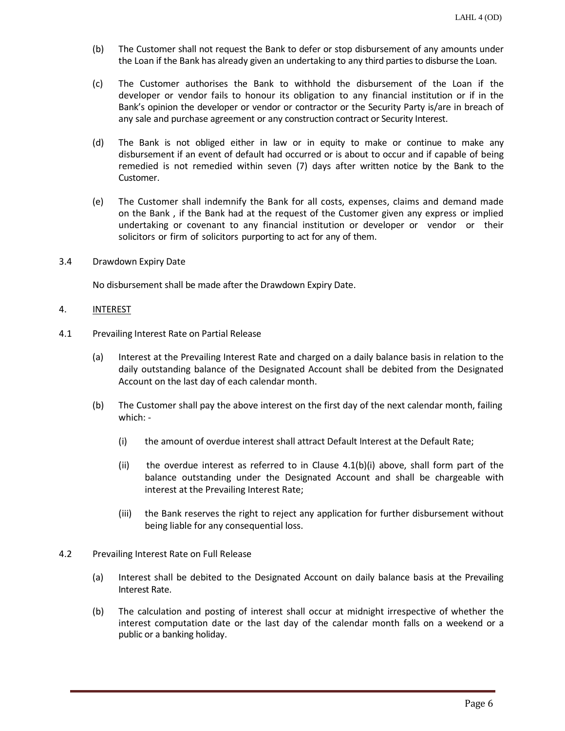- (b) The Customer shall not request the Bank to defer or stop disbursement of any amounts under the Loan if the Bank has already given an undertaking to any third parties to disburse the Loan.
- (c) The Customer authorises the Bank to withhold the disbursement of the Loan if the developer or vendor fails to honour its obligation to any financial institution or if in the Bank's opinion the developer or vendor or contractor or the Security Party is/are in breach of any sale and purchase agreement or any construction contract or Security Interest.
- (d) The Bank is not obliged either in law or in equity to make or continue to make any disbursement if an event of default had occurred or is about to occur and if capable of being remedied is not remedied within seven (7) days after written notice by the Bank to the Customer.
- (e) The Customer shall indemnify the Bank for all costs, expenses, claims and demand made on the Bank , if the Bank had at the request of the Customer given any express or implied undertaking or covenant to any financial institution or developer or vendor or their solicitors or firm of solicitors purporting to act for any of them.
- 3.4 Drawdown Expiry Date

No disbursement shall be made after the Drawdown Expiry Date.

- 4. **INTEREST**
- 4.1 Prevailing Interest Rate on Partial Release
	- (a) Interest at the Prevailing Interest Rate and charged on a daily balance basis in relation to the daily outstanding balance of the Designated Account shall be debited from the Designated Account on the last day of each calendar month.
	- (b) The Customer shall pay the above interest on the first day of the next calendar month, failing which: -
		- (i) the amount of overdue interest shall attract Default Interest at the Default Rate;
		- (ii) the overdue interest as referred to in Clause  $4.1(b)(i)$  above, shall form part of the balance outstanding under the Designated Account and shall be chargeable with interest at the Prevailing Interest Rate;
		- (iii) the Bank reserves the right to reject any application for further disbursement without being liable for any consequential loss.
- 4.2 Prevailing Interest Rate on Full Release
	- (a) Interest shall be debited to the Designated Account on daily balance basis at the Prevailing Interest Rate.
	- (b) The calculation and posting of interest shall occur at midnight irrespective of whether the interest computation date or the last day of the calendar month falls on a weekend or a public or a banking holiday.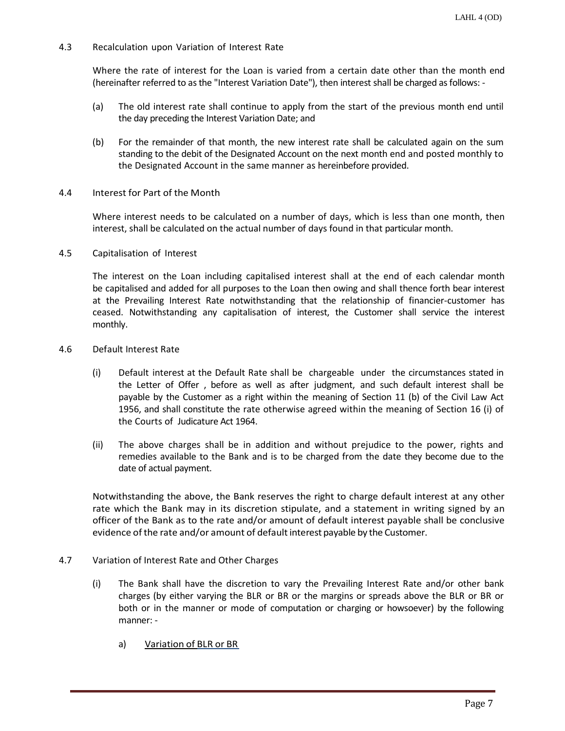4.3 Recalculation upon Variation of Interest Rate

Where the rate of interest for the Loan is varied from a certain date other than the month end (hereinafter referred to as the "Interest Variation Date"), then interest shall be charged as follows: -

- (a) The old interest rate shall continue to apply from the start of the previous month end until the day preceding the Interest Variation Date; and
- (b) For the remainder of that month, the new interest rate shall be calculated again on the sum standing to the debit of the Designated Account on the next month end and posted monthly to the Designated Account in the same manner as hereinbefore provided.
- 4.4 Interest for Part of the Month

Where interest needs to be calculated on a number of days, which is less than one month, then interest, shall be calculated on the actual number of days found in that particular month.

4.5 Capitalisation of Interest

The interest on the Loan including capitalised interest shall at the end of each calendar month be capitalised and added for all purposes to the Loan then owing and shall thence forth bear interest at the Prevailing Interest Rate notwithstanding that the relationship of financier-customer has ceased. Notwithstanding any capitalisation of interest, the Customer shall service the interest monthly.

- 4.6 Default Interest Rate
	- (i) Default interest at the Default Rate shall be chargeable under the circumstances stated in the Letter of Offer , before as well as after judgment, and such default interest shall be payable by the Customer as a right within the meaning of Section 11 (b) of the Civil Law Act 1956, and shall constitute the rate otherwise agreed within the meaning of Section 16 (i) of the Courts of Judicature Act 1964.
	- (ii) The above charges shall be in addition and without prejudice to the power, rights and remedies available to the Bank and is to be charged from the date they become due to the date of actual payment.

Notwithstanding the above, the Bank reserves the right to charge default interest at any other rate which the Bank may in its discretion stipulate, and a statement in writing signed by an officer of the Bank as to the rate and/or amount of default interest payable shall be conclusive evidence of the rate and/or amount of default interest payable by the Customer.

- 4.7 Variation of Interest Rate and Other Charges
	- (i) The Bank shall have the discretion to vary the Prevailing Interest Rate and/or other bank charges (by either varying the BLR or BR or the margins or spreads above the BLR or BR or both or in the manner or mode of computation or charging or howsoever) by the following manner:
		- a) Variation of BLR or BR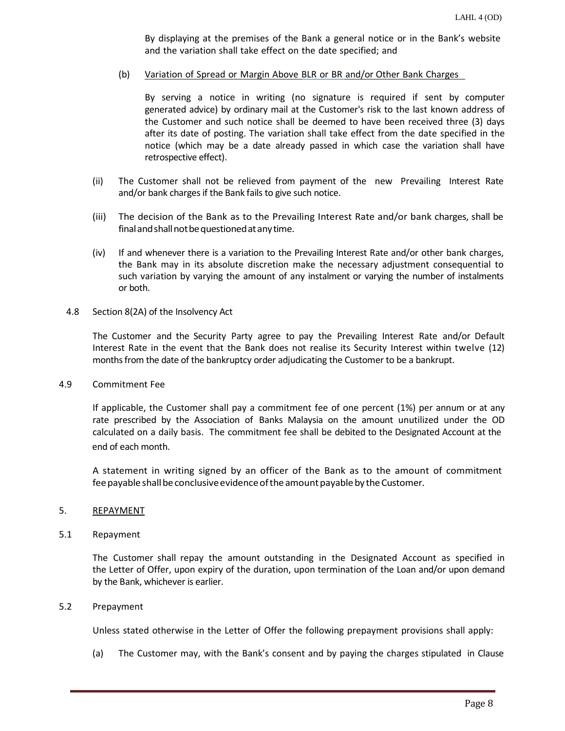By displaying at the premises of the Bank a general notice or in the Bank's website and the variation shall take effect on the date specified; and

(b) Variation of Spread or Margin Above BLR or BR and/or Other Bank Charges

By serving a notice in writing (no signature is required if sent by computer generated advice) by ordinary mail at the Customer's risk to the last known address of the Customer and such notice shall be deemed to have been received three (3) days after its date of posting. The variation shall take effect from the date specified in the notice (which may be a date already passed in which case the variation shall have retrospective effect).

- (ii) The Customer shall not be relieved from payment of the new Prevailing Interest Rate and/or bank charges if the Bank fails to give such notice.
- (iii) The decision of the Bank as to the Prevailing Interest Rate and/or bank charges, shall be final and shall not be questioned at any time.
- (iv) If and whenever there is a variation to the Prevailing Interest Rate and/or other bank charges, the Bank may in its absolute discretion make the necessary adjustment consequential to such variation by varying the amount of any instalment or varying the number of instalments or both.
- 4.8 Section 8(2A) of the Insolvency Act

The Customer and the Security Party agree to pay the Prevailing Interest Rate and/or Default Interest Rate in the event that the Bank does not realise its Security Interest within twelve (12) months from the date of the bankruptcy order adjudicating the Customer to be a bankrupt.

4.9 Commitment Fee

If applicable, the Customer shall pay a commitment fee of one percent (1%) per annum or at any rate prescribed by the Association of Banks Malaysia on the amount unutilized under the OD calculated on a daily basis. The commitment fee shall be debited to the Designated Account at the end of each month.

A statement in writing signed by an officer of the Bank as to the amount of commitment fee payable shall be conclusive evidence of the amount payable by the Customer.

### 5. REPAYMENT

5.1 Repayment

The Customer shall repay the amount outstanding in the Designated Account as specified in the Letter of Offer, upon expiry of the duration, upon termination of the Loan and/or upon demand by the Bank, whichever is earlier.

5.2 Prepayment

Unless stated otherwise in the Letter of Offer the following prepayment provisions shall apply:

(a) The Customer may, with the Bank's consent and by paying the charges stipulated in Clause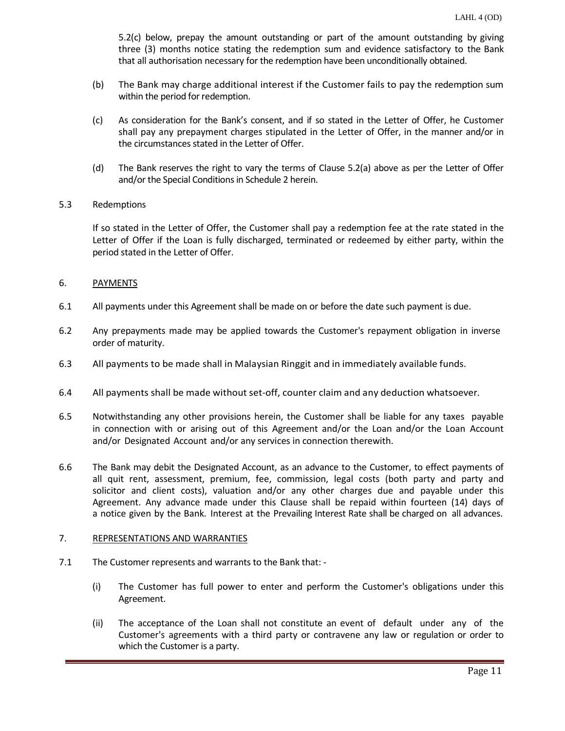5.2(c) below, prepay the amount outstanding or part of the amount outstanding by giving three (3) months notice stating the redemption sum and evidence satisfactory to the Bank that all authorisation necessary for the redemption have been unconditionally obtained.

- (b) The Bank may charge additional interest if the Customer fails to pay the redemption sum within the period for redemption.
- (c) As consideration for the Bank's consent, and if so stated in the Letter of Offer, he Customer shall pay any prepayment charges stipulated in the Letter of Offer, in the manner and/or in the circumstances stated in the Letter of Offer.
- (d) The Bank reserves the right to vary the terms of Clause 5.2(a) above as per the Letter of Offer and/or the Special Conditions in Schedule 2 herein.
- 5.3 Redemptions

If so stated in the Letter of Offer, the Customer shall pay a redemption fee at the rate stated in the Letter of Offer if the Loan is fully discharged, terminated or redeemed by either party, within the period stated in the Letter of Offer.

### 6. PAYMENTS

- 6.1 All payments under this Agreement shall be made on or before the date such payment is due.
- 6.2 Any prepayments made may be applied towards the Customer's repayment obligation in inverse order of maturity.
- 6.3 All payments to be made shall in Malaysian Ringgit and in immediately available funds.
- 6.4 All payments shall be made without set-off, counter claim and any deduction whatsoever.
- 6.5 Notwithstanding any other provisions herein, the Customer shall be liable for any taxes payable in connection with or arising out of this Agreement and/or the Loan and/or the Loan Account and/or Designated Account and/or any services in connection therewith.
- 6.6 The Bank may debit the Designated Account, as an advance to the Customer, to effect payments of all quit rent, assessment, premium, fee, commission, legal costs (both party and party and solicitor and client costs), valuation and/or any other charges due and payable under this Agreement. Any advance made under this Clause shall be repaid within fourteen (14) days of a notice given by the Bank. Interest at the Prevailing Interest Rate shall be charged on all advances.

### 7. REPRESENTATIONS AND WARRANTIES

- 7.1 The Customer represents and warrants to the Bank that:
	- (i) The Customer has full power to enter and perform the Customer's obligations under this Agreement.
	- (ii) The acceptance of the Loan shall not constitute an event of default under any of the Customer's agreements with a third party or contravene any law or regulation or order to which the Customer is a party.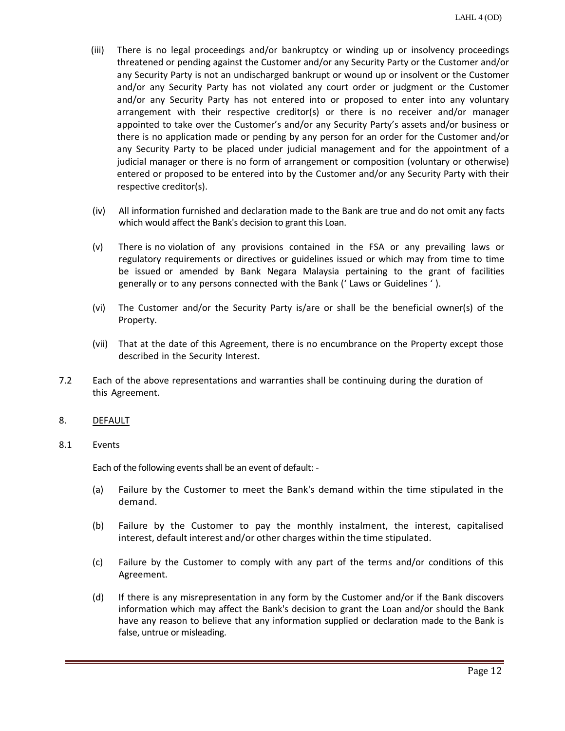- (iii) There is no legal proceedings and/or bankruptcy or winding up or insolvency proceedings threatened or pending against the Customer and/or any Security Party or the Customer and/or any Security Party is not an undischarged bankrupt or wound up or insolvent or the Customer and/or any Security Party has not violated any court order or judgment or the Customer and/or any Security Party has not entered into or proposed to enter into any voluntary arrangement with their respective creditor(s) or there is no receiver and/or manager appointed to take over the Customer's and/or any Security Party's assets and/or business or there is no application made or pending by any person for an order for the Customer and/or any Security Party to be placed under judicial management and for the appointment of a judicial manager or there is no form of arrangement or composition (voluntary or otherwise) entered or proposed to be entered into by the Customer and/or any Security Party with their respective creditor(s).
- (iv) All information furnished and declaration made to the Bank are true and do not omit any facts which would affect the Bank's decision to grant this Loan.
- (v) There is no violation of any provisions contained in the FSA or any prevailing laws or regulatory requirements or directives or guidelines issued or which may from time to time be issued or amended by Bank Negara Malaysia pertaining to the grant of facilities generally or to any persons connected with the Bank (' Laws or Guidelines ' ).
- (vi) The Customer and/or the Security Party is/are or shall be the beneficial owner(s) of the Property.
- (vii) That at the date of this Agreement, there is no encumbrance on the Property except those described in the Security Interest.
- 7.2 Each of the above representations and warranties shall be continuing during the duration of this Agreement.

### 8. DEFAULT

### 8.1 Events

Each of the following events shall be an event of default: -

- (a) Failure by the Customer to meet the Bank's demand within the time stipulated in the demand.
- (b) Failure by the Customer to pay the monthly instalment, the interest, capitalised interest, default interest and/or other charges within the time stipulated.
- (c) Failure by the Customer to comply with any part of the terms and/or conditions of this Agreement.
- (d) If there is any misrepresentation in any form by the Customer and/or if the Bank discovers information which may affect the Bank's decision to grant the Loan and/or should the Bank have any reason to believe that any information supplied or declaration made to the Bank is false, untrue or misleading.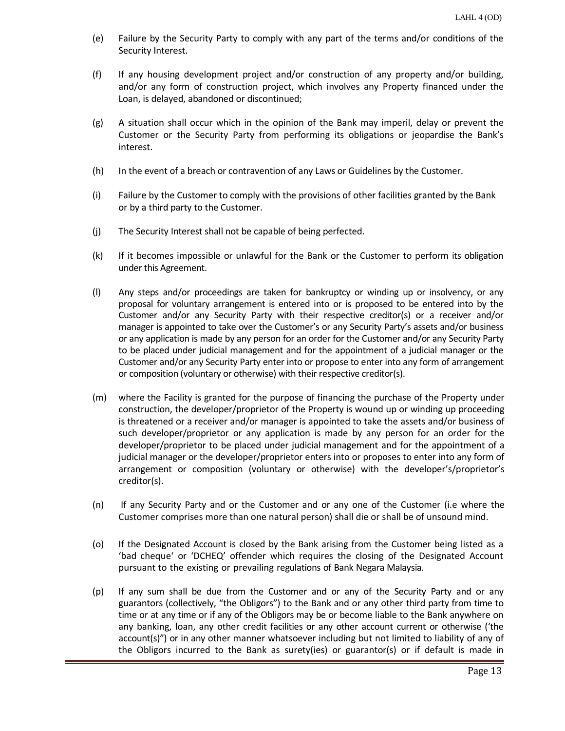- (e) Failure by the Security Party to comply with any part of the terms and/or conditions of the Security Interest.
- (f) If any housing development project and/or construction of any property and/or building, and/or any form of construction project, which involves any Property financed under the Loan, is delayed, abandoned or discontinued;
- (g) A situation shall occur which in the opinion of the Bank may imperil, delay or prevent the Customer or the Security Party from performing its obligations or jeopardise the Bank's interest.
- (h) In the event of a breach or contravention of any Laws or Guidelines by the Customer.
- (i) Failure by the Customer to comply with the provisions of other facilities granted by the Bank or by a third party to the Customer.
- (j) The Security Interest shall not be capable of being perfected.
- (k) If it becomes impossible or unlawful for the Bank or the Customer to perform its obligation under this Agreement.
- (l) Any steps and/or proceedings are taken for bankruptcy or winding up or insolvency, or any proposal for voluntary arrangement is entered into or is proposed to be entered into by the Customer and/or any Security Party with their respective creditor(s) or a receiver and/or manager is appointed to take over the Customer's or any Security Party's assets and/or business or any application is made by any person for an order for the Customer and/or any Security Party to be placed under judicial management and for the appointment of a judicial manager or the Customer and/or any Security Party enter into or propose to enter into any form of arrangement or composition (voluntary or otherwise) with their respective creditor(s).
- (m) where the Facility is granted for the purpose of financing the purchase of the Property under construction, the developer/proprietor of the Property is wound up or winding up proceeding is threatened or a receiver and/or manager is appointed to take the assets and/or business of such developer/proprietor or any application is made by any person for an order for the developer/proprietor to be placed under judicial management and for the appointment of a judicial manager or the developer/proprietor enters into or proposes to enter into any form of arrangement or composition (voluntary or otherwise) with the developer's/proprietor's creditor(s).
- (n) If any Security Party and or the Customer and or any one of the Customer (i.e where the Customer comprises more than one natural person) shall die or shall be of unsound mind.
- (o) If the Designated Account is closed by the Bank arising from the Customer being listed as a 'bad cheque' or 'DCHEQ' offender which requires the closing of the Designated Account pursuant to the existing or prevailing regulations of Bank Negara Malaysia.
- (p) If any sum shall be due from the Customer and or any of the Security Party and or any guarantors (collectively, "the Obligors") to the Bank and or any other third party from time to time or at any time or if any of the Obligors may be or become liable to the Bank anywhere on any banking, loan, any other credit facilities or any other account current or otherwise ('the account(s)") or in any other manner whatsoever including but not limited to liability of any of the Obligors incurred to the Bank as surety(ies) or guarantor(s) or if default is made in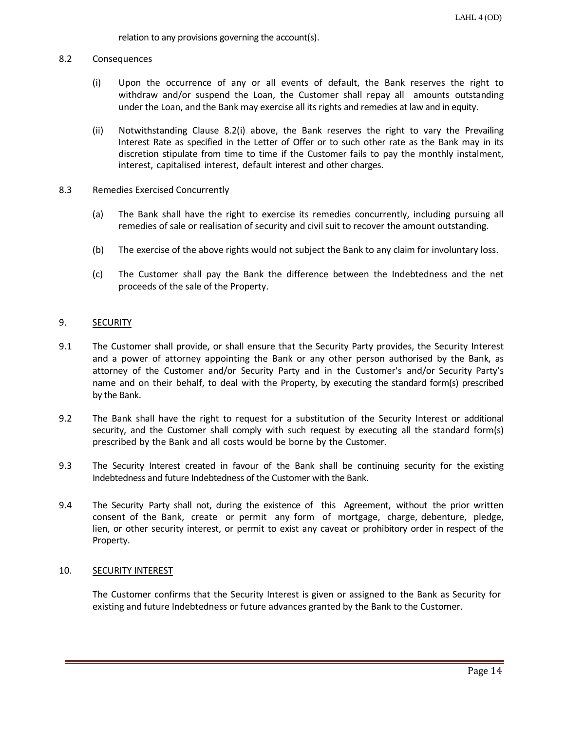relation to any provisions governing the account(s).

#### 8.2 Consequences

- (i) Upon the occurrence of any or all events of default, the Bank reserves the right to withdraw and/or suspend the Loan, the Customer shall repay all amounts outstanding under the Loan, and the Bank may exercise all its rights and remedies at law and in equity.
- (ii) Notwithstanding Clause 8.2(i) above, the Bank reserves the right to vary the Prevailing Interest Rate as specified in the Letter of Offer or to such other rate as the Bank may in its discretion stipulate from time to time if the Customer fails to pay the monthly instalment, interest, capitalised interest, default interest and other charges.
- 8.3 Remedies Exercised Concurrently
	- (a) The Bank shall have the right to exercise its remedies concurrently, including pursuing all remedies of sale or realisation of security and civil suit to recover the amount outstanding.
	- (b) The exercise of the above rights would not subject the Bank to any claim for involuntary loss.
	- (c) The Customer shall pay the Bank the difference between the Indebtedness and the net proceeds of the sale of the Property.

#### 9. SECURITY

- 9.1 The Customer shall provide, or shall ensure that the Security Party provides, the Security Interest and a power of attorney appointing the Bank or any other person authorised by the Bank, as attorney of the Customer and/or Security Party and in the Customer's and/or Security Party's name and on their behalf, to deal with the Property, by executing the standard form(s) prescribed by the Bank.
- 9.2 The Bank shall have the right to request for a substitution of the Security Interest or additional security, and the Customer shall comply with such request by executing all the standard form(s) prescribed by the Bank and all costs would be borne by the Customer.
- 9.3 The Security Interest created in favour of the Bank shall be continuing security for the existing Indebtedness and future Indebtedness of the Customer with the Bank.
- 9.4 The Security Party shall not, during the existence of this Agreement, without the prior written consent of the Bank, create or permit any form of mortgage, charge, debenture, pledge, lien, or other security interest, or permit to exist any caveat or prohibitory order in respect of the Property.

### 10. SECURITY INTEREST

The Customer confirms that the Security Interest is given or assigned to the Bank as Security for existing and future Indebtedness or future advances granted by the Bank to the Customer.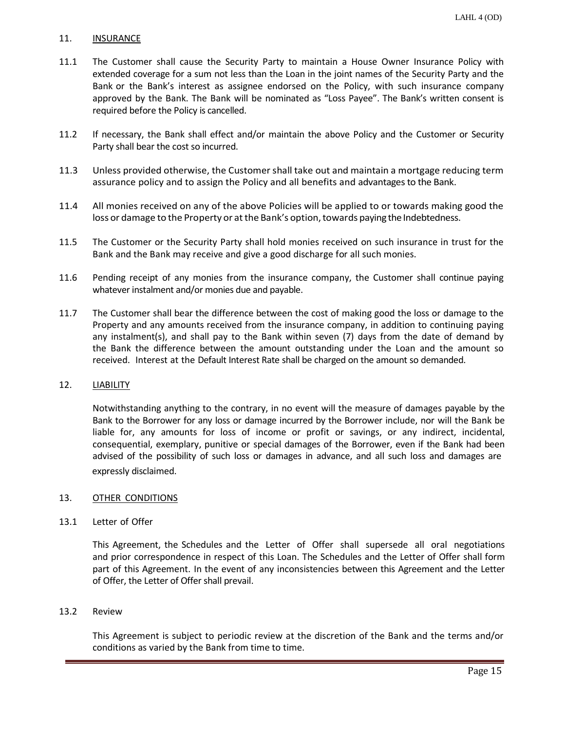### 11. INSURANCE

- 11.1 The Customer shall cause the Security Party to maintain a House Owner Insurance Policy with extended coverage for a sum not less than the Loan in the joint names of the Security Party and the Bank or the Bank's interest as assignee endorsed on the Policy, with such insurance company approved by the Bank. The Bank will be nominated as "Loss Payee". The Bank's written consent is required before the Policy is cancelled.
- 11.2 If necessary, the Bank shall effect and/or maintain the above Policy and the Customer or Security Party shall bear the cost so incurred.
- 11.3 Unless provided otherwise, the Customershall take out and maintain a mortgage reducing term assurance policy and to assign the Policy and all benefits and advantages to the Bank.
- 11.4 All monies received on any of the above Policies will be applied to or towards making good the loss or damage to the Property or at the Bank's option, towards paying the Indebtedness.
- 11.5 The Customer or the Security Party shall hold monies received on such insurance in trust for the Bank and the Bank may receive and give a good discharge for all such monies.
- 11.6 Pending receipt of any monies from the insurance company, the Customer shall continue paying whatever instalment and/or monies due and payable.
- 11.7 The Customer shall bear the difference between the cost of making good the loss or damage to the Property and any amounts received from the insurance company, in addition to continuing paying any instalment(s), and shall pay to the Bank within seven (7) days from the date of demand by the Bank the difference between the amount outstanding under the Loan and the amount so received. Interest at the Default Interest Rate shall be charged on the amount so demanded.

### 12. LIABILITY

Notwithstanding anything to the contrary, in no event will the measure of damages payable by the Bank to the Borrower for any loss or damage incurred by the Borrower include, nor will the Bank be liable for, any amounts for loss of income or profit or savings, or any indirect, incidental, consequential, exemplary, punitive or special damages of the Borrower, even if the Bank had been advised of the possibility of such loss or damages in advance, and all such loss and damages are expressly disclaimed.

### 13. OTHER CONDITIONS

13.1 Letter of Offer

This Agreement, the Schedules and the Letter of Offer shall supersede all oral negotiations and prior correspondence in respect of this Loan. The Schedules and the Letter of Offer shall form part of this Agreement. In the event of any inconsistencies between this Agreement and the Letter of Offer, the Letter of Offer shall prevail.

#### 13.2 Review

This Agreement is subject to periodic review at the discretion of the Bank and the terms and/or conditions as varied by the Bank from time to time.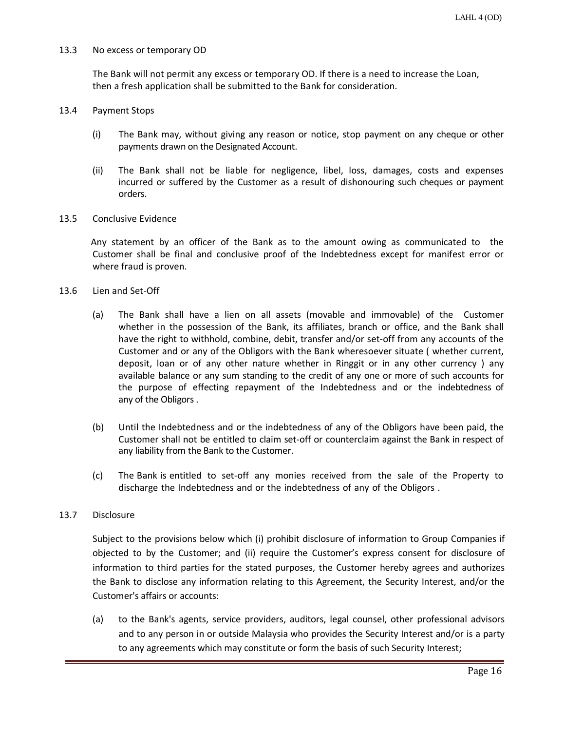#### 13.3 No excess or temporary OD

The Bank will not permit any excess or temporary OD. If there is a need to increase the Loan, then a fresh application shall be submitted to the Bank for consideration.

#### 13.4 Payment Stops

- (i) The Bank may, without giving any reason or notice, stop payment on any cheque or other payments drawn on the Designated Account.
- (ii) The Bank shall not be liable for negligence, libel, loss, damages, costs and expenses incurred or suffered by the Customer as a result of dishonouring such cheques or payment orders.

#### 13.5 Conclusive Evidence

Any statement by an officer of the Bank as to the amount owing as communicated to the Customer shall be final and conclusive proof of the Indebtedness except for manifest error or where fraud is proven.

#### 13.6 Lien and Set-Off

- (a) The Bank shall have a lien on all assets (movable and immovable) of the Customer whether in the possession of the Bank, its affiliates, branch or office, and the Bank shall have the right to withhold, combine, debit, transfer and/or set-off from any accounts of the Customer and or any of the Obligors with the Bank wheresoever situate ( whether current, deposit, loan or of any other nature whether in Ringgit or in any other currency ) any available balance or any sum standing to the credit of any one or more of such accounts for the purpose of effecting repayment of the Indebtedness and or the indebtedness of any of the Obligors .
- (b) Until the Indebtedness and or the indebtedness of any of the Obligors have been paid, the Customer shall not be entitled to claim set-off or counterclaim against the Bank in respect of any liability from the Bank to the Customer.
- (c) The Bank is entitled to set-off any monies received from the sale of the Property to discharge the Indebtedness and or the indebtedness of any of the Obligors .

#### 13.7 Disclosure

Subject to the provisions below which (i) prohibit disclosure of information to Group Companies if objected to by the Customer; and (ii) require the Customer's express consent for disclosure of information to third parties for the stated purposes, the Customer hereby agrees and authorizes the Bank to disclose any information relating to this Agreement, the Security Interest, and/or the Customer's affairs or accounts:

(a) to the Bank's agents, service providers, auditors, legal counsel, other professional advisors and to any person in or outside Malaysia who provides the Security Interest and/or is a party to any agreements which may constitute or form the basis of such Security Interest;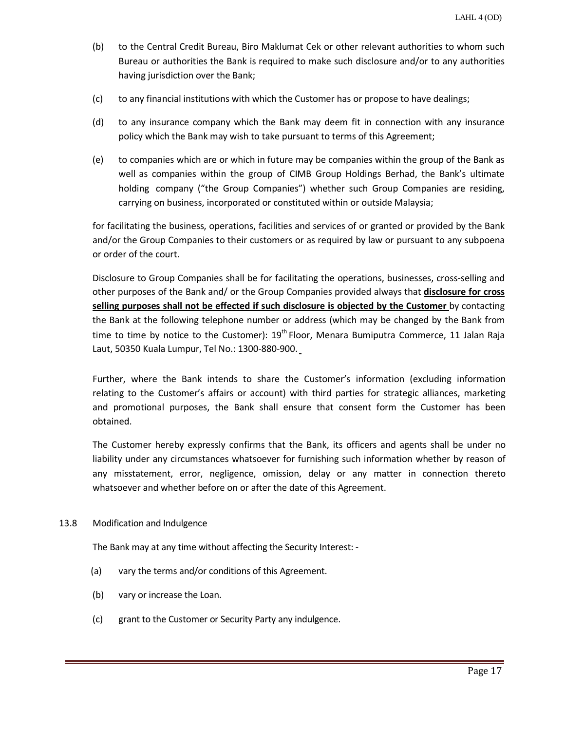- (b) to the Central Credit Bureau, Biro Maklumat Cek or other relevant authorities to whom such Bureau or authorities the Bank is required to make such disclosure and/or to any authorities having jurisdiction over the Bank;
- (c) to any financial institutions with which the Customer has or propose to have dealings;
- (d) to any insurance company which the Bank may deem fit in connection with any insurance policy which the Bank may wish to take pursuant to terms of this Agreement;
- (e) to companies which are or which in future may be companies within the group of the Bank as well as companies within the group of CIMB Group Holdings Berhad, the Bank's ultimate holding company ("the Group Companies") whether such Group Companies are residing, carrying on business, incorporated or constituted within or outside Malaysia;

for facilitating the business, operations, facilities and services of or granted or provided by the Bank and/or the Group Companies to their customers or as required by law or pursuant to any subpoena or order of the court.

Disclosure to Group Companies shall be for facilitating the operations, businesses, cross-selling and other purposes of the Bank and/ or the Group Companies provided always that **disclosure for cross selling purposes shall not be effected if such disclosure is objected by the Customer** by contacting the Bank at the following telephone number or address (which may be changed by the Bank from time to time by notice to the Customer): 19<sup>th</sup> Floor, Menara Bumiputra Commerce, 11 Jalan Raja Laut, 50350 Kuala Lumpur, Tel No.: 1300-880-900.

Further, where the Bank intends to share the Customer's information (excluding information relating to the Customer's affairs or account) with third parties for strategic alliances, marketing and promotional purposes, the Bank shall ensure that consent form the Customer has been obtained.

The Customer hereby expressly confirms that the Bank, its officers and agents shall be under no liability under any circumstances whatsoever for furnishing such information whether by reason of any misstatement, error, negligence, omission, delay or any matter in connection thereto whatsoever and whether before on or after the date of this Agreement.

### 13.8 Modification and Indulgence

The Bank may at any time without affecting the Security Interest: -

- (a) vary the terms and/or conditions of this Agreement.
- (b) vary or increase the Loan.
- (c) grant to the Customer or Security Party any indulgence.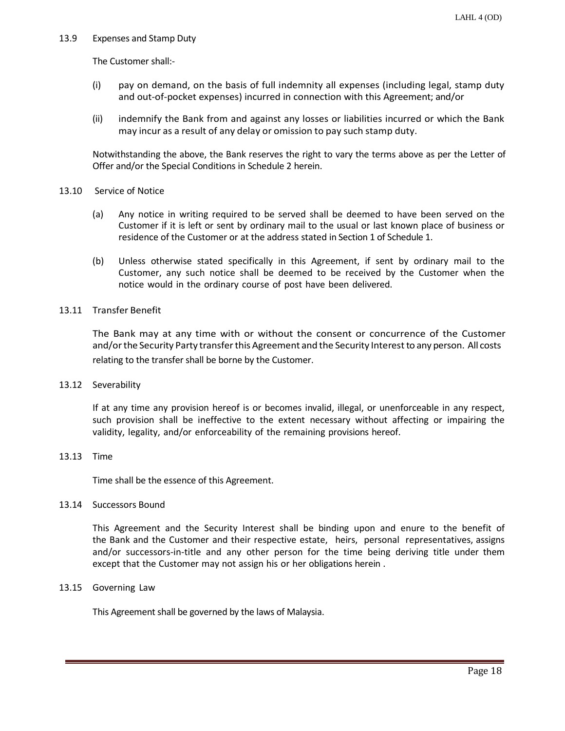### 13.9 Expenses and Stamp Duty

The Customer shall:-

- (i) pay on demand, on the basis of full indemnity all expenses (including legal, stamp duty and out-of-pocket expenses) incurred in connection with this Agreement; and/or
- (ii) indemnify the Bank from and against any losses or liabilities incurred or which the Bank may incur as a result of any delay or omission to pay such stamp duty.

Notwithstanding the above, the Bank reserves the right to vary the terms above as per the Letter of Offer and/or the Special Conditions in Schedule 2 herein.

### 13.10 Service of Notice

- (a) Any notice in writing required to be served shall be deemed to have been served on the Customer if it is left or sent by ordinary mail to the usual or last known place of business or residence of the Customer or at the address stated in Section 1 of Schedule 1.
- (b) Unless otherwise stated specifically in this Agreement, if sent by ordinary mail to the Customer, any such notice shall be deemed to be received by the Customer when the notice would in the ordinary course of post have been delivered.

### 13.11 Transfer Benefit

The Bank may at any time with or without the consent or concurrence of the Customer and/orthe Security Party transferthis Agreement and the Security Interestto any person. All costs relating to the transfer shall be borne by the Customer.

13.12 Severability

If at any time any provision hereof is or becomes invalid, illegal, or unenforceable in any respect, such provision shall be ineffective to the extent necessary without affecting or impairing the validity, legality, and/or enforceability of the remaining provisions hereof.

### 13.13 Time

Time shall be the essence of this Agreement.

13.14 Successors Bound

This Agreement and the Security Interest shall be binding upon and enure to the benefit of the Bank and the Customer and their respective estate, heirs, personal representatives, assigns and/or successors-in-title and any other person for the time being deriving title under them except that the Customer may not assign his or her obligations herein .

# 13.15 Governing Law

This Agreement shall be governed by the laws of Malaysia.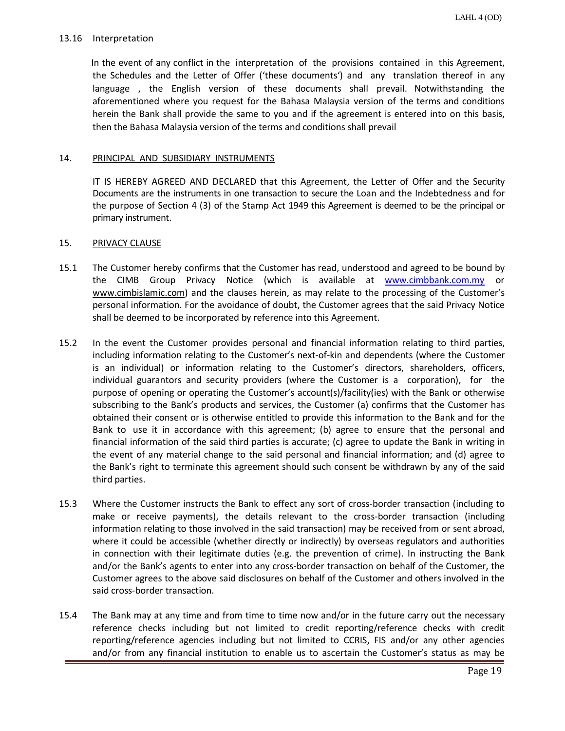### 13.16 Interpretation

In the event of any conflict in the interpretation of the provisions contained in this Agreement, the Schedules and the Letter of Offer ('these documents') and any translation thereof in any language , the English version of these documents shall prevail. Notwithstanding the aforementioned where you request for the Bahasa Malaysia version of the terms and conditions herein the Bank shall provide the same to you and if the agreement is entered into on this basis, then the Bahasa Malaysia version of the terms and conditions shall prevail

### 14. PRINCIPAL AND SUBSIDIARY INSTRUMENTS

IT IS HEREBY AGREED AND DECLARED that this Agreement, the Letter of Offer and the Security Documents are the instruments in one transaction to secure the Loan and the Indebtedness and for the purpose of Section 4 (3) of the Stamp Act 1949 this Agreement is deemed to be the principal or primary instrument.

### 15. PRIVACY CLAUSE

- 15.1 The Customer hereby confirms that the Customer has read, understood and agreed to be bound by the CIMB Group Privacy Notice (which is available at [www.cimbbank.com.my](http://www.cimbbank.com.my/) or www.cimbislamic.com) and the clauses herein, as may relate to the processing of the Customer's personal information. For the avoidance of doubt, the Customer agrees that the said Privacy Notice shall be deemed to be incorporated by reference into this Agreement.
- 15.2 In the event the Customer provides personal and financial information relating to third parties, including information relating to the Customer's next-of-kin and dependents (where the Customer is an individual) or information relating to the Customer's directors, shareholders, officers, individual guarantors and security providers (where the Customer is a corporation), for the purpose of opening or operating the Customer's account(s)/facility(ies) with the Bank or otherwise subscribing to the Bank's products and services, the Customer (a) confirms that the Customer has obtained their consent or is otherwise entitled to provide this information to the Bank and for the Bank to use it in accordance with this agreement; (b) agree to ensure that the personal and financial information of the said third parties is accurate; (c) agree to update the Bank in writing in the event of any material change to the said personal and financial information; and (d) agree to the Bank's right to terminate this agreement should such consent be withdrawn by any of the said third parties.
- 15.3 Where the Customer instructs the Bank to effect any sort of cross-border transaction (including to make or receive payments), the details relevant to the cross-border transaction (including information relating to those involved in the said transaction) may be received from or sent abroad, where it could be accessible (whether directly or indirectly) by overseas regulators and authorities in connection with their legitimate duties (e.g. the prevention of crime). In instructing the Bank and/or the Bank's agents to enter into any cross-border transaction on behalf of the Customer, the Customer agrees to the above said disclosures on behalf of the Customer and others involved in the said cross-border transaction.
- 15.4 The Bank may at any time and from time to time now and/or in the future carry out the necessary reference checks including but not limited to credit reporting/reference checks with credit reporting/reference agencies including but not limited to CCRIS, FIS and/or any other agencies and/or from any financial institution to enable us to ascertain the Customer's status as may be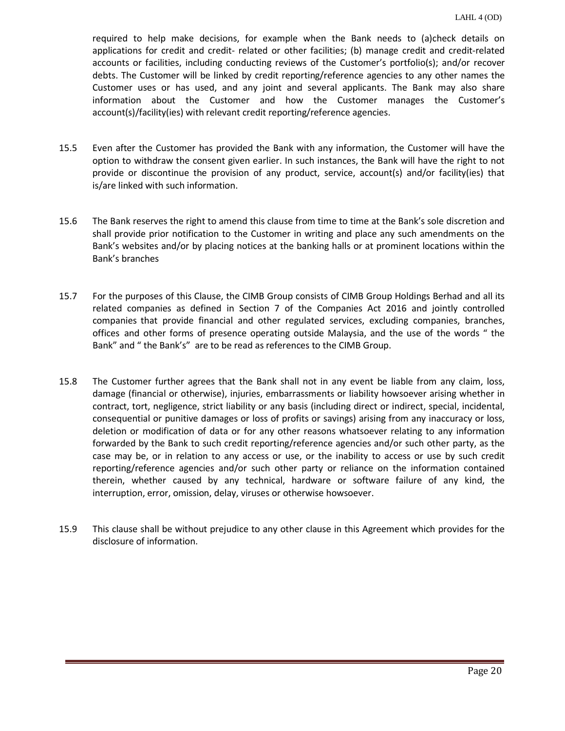required to help make decisions, for example when the Bank needs to (a)check details on applications for credit and credit- related or other facilities; (b) manage credit and credit-related accounts or facilities, including conducting reviews of the Customer's portfolio(s); and/or recover debts. The Customer will be linked by credit reporting/reference agencies to any other names the Customer uses or has used, and any joint and several applicants. The Bank may also share information about the Customer and how the Customer manages the Customer's account(s)/facility(ies) with relevant credit reporting/reference agencies.

- 15.5 Even after the Customer has provided the Bank with any information, the Customer will have the option to withdraw the consent given earlier. In such instances, the Bank will have the right to not provide or discontinue the provision of any product, service, account(s) and/or facility(ies) that is/are linked with such information.
- 15.6 The Bank reserves the right to amend this clause from time to time at the Bank's sole discretion and shall provide prior notification to the Customer in writing and place any such amendments on the Bank's websites and/or by placing notices at the banking halls or at prominent locations within the Bank's branches
- 15.7 For the purposes of this Clause, the CIMB Group consists of CIMB Group Holdings Berhad and all its related companies as defined in Section 7 of the Companies Act 2016 and jointly controlled companies that provide financial and other regulated services, excluding companies, branches, offices and other forms of presence operating outside Malaysia, and the use of the words " the Bank" and " the Bank's" are to be read as references to the CIMB Group.
- 15.8 The Customer further agrees that the Bank shall not in any event be liable from any claim, loss, damage (financial or otherwise), injuries, embarrassments or liability howsoever arising whether in contract, tort, negligence, strict liability or any basis (including direct or indirect, special, incidental, consequential or punitive damages or loss of profits or savings) arising from any inaccuracy or loss, deletion or modification of data or for any other reasons whatsoever relating to any information forwarded by the Bank to such credit reporting/reference agencies and/or such other party, as the case may be, or in relation to any access or use, or the inability to access or use by such credit reporting/reference agencies and/or such other party or reliance on the information contained therein, whether caused by any technical, hardware or software failure of any kind, the interruption, error, omission, delay, viruses or otherwise howsoever.
- 15.9 This clause shall be without prejudice to any other clause in this Agreement which provides for the disclosure of information.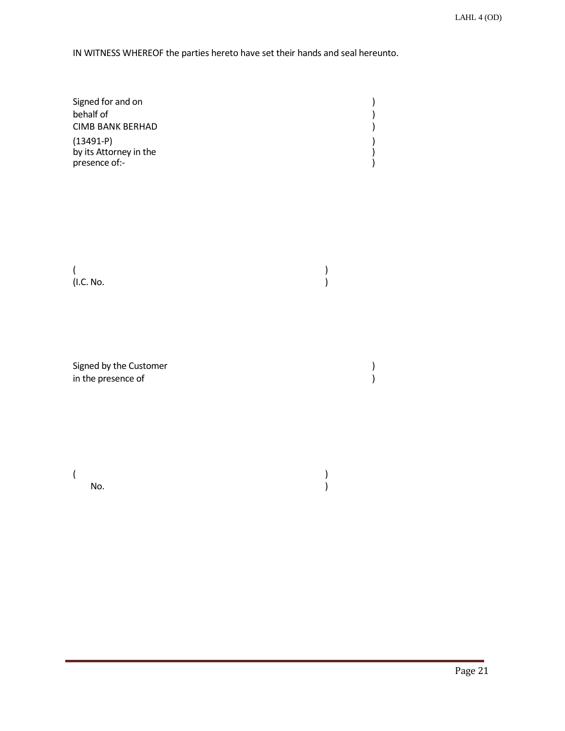IN WITNESS WHEREOF the parties hereto have set their hands and seal hereunto.

| Signed for and on                                      |  |
|--------------------------------------------------------|--|
| behalf of                                              |  |
| <b>CIMB BANK BERHAD</b>                                |  |
| $(13491-P)$<br>by its Attorney in the<br>presence of:- |  |

No.

(and  $\overline{\phantom{a}}$ ) (1.C. No. )

Signed by the Customer ) in the presence of

(and  $\overline{\phantom{a}}$ )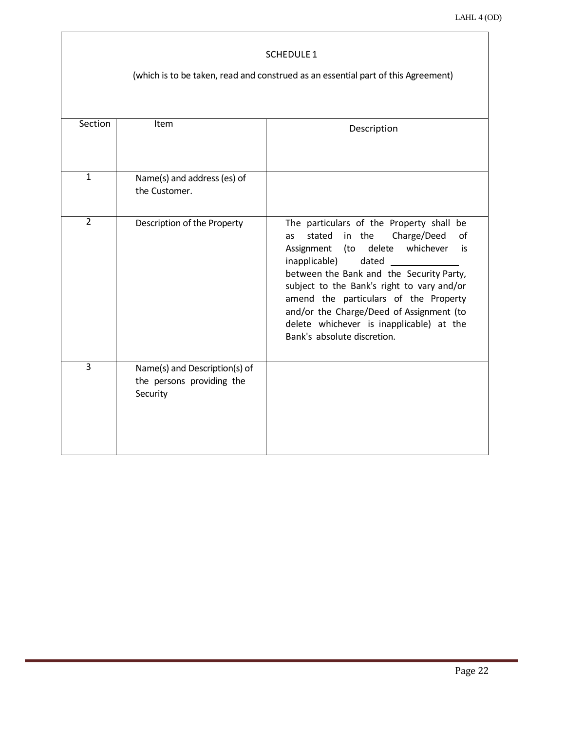### SCHEDULE 1

# (which is to be taken, read and construed as an essential part of this Agreement)

| Section        | Item                                                                   | Description                                                                                                                                                                                                                                                                                                                                                                                                       |  |  |  |  |  |
|----------------|------------------------------------------------------------------------|-------------------------------------------------------------------------------------------------------------------------------------------------------------------------------------------------------------------------------------------------------------------------------------------------------------------------------------------------------------------------------------------------------------------|--|--|--|--|--|
| $\mathbf{1}$   | Name(s) and address (es) of<br>the Customer.                           |                                                                                                                                                                                                                                                                                                                                                                                                                   |  |  |  |  |  |
| $\overline{2}$ | Description of the Property                                            | The particulars of the Property shall be<br>stated in the<br>Charge/Deed<br>Ωf<br>as<br>Assignment (to delete whichever<br>is<br>inapplicable)<br>dated<br>between the Bank and the Security Party,<br>subject to the Bank's right to vary and/or<br>amend the particulars of the Property<br>and/or the Charge/Deed of Assignment (to<br>delete whichever is inapplicable) at the<br>Bank's absolute discretion. |  |  |  |  |  |
| $\overline{3}$ | Name(s) and Description(s) of<br>the persons providing the<br>Security |                                                                                                                                                                                                                                                                                                                                                                                                                   |  |  |  |  |  |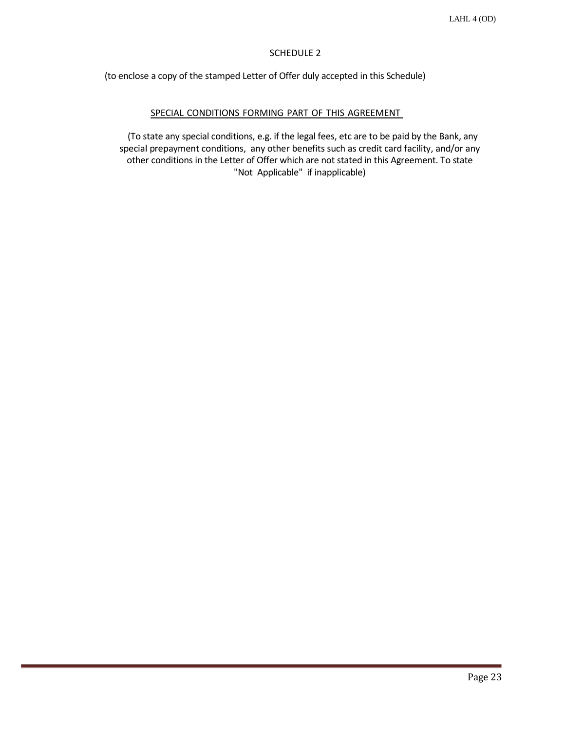# SCHEDULE 2

(to enclose a copy of the stamped Letter of Offer duly accepted in this Schedule)

### SPECIAL CONDITIONS FORMING PART OF THIS AGREEMENT

(To state any special conditions, e.g. if the legal fees, etc are to be paid by the Bank, any special prepayment conditions, any other benefits such as credit card facility, and/or any other conditions in the Letter of Offer which are not stated in this Agreement. To state "Not Applicable" if inapplicable)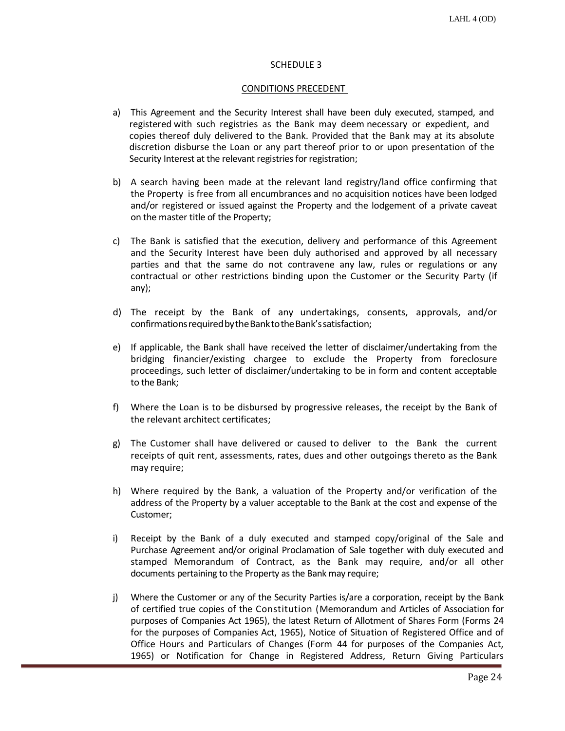### SCHEDULE 3

### CONDITIONS PRECEDENT

- a) This Agreement and the Security Interest shall have been duly executed, stamped, and registered with such registries as the Bank may deem necessary or expedient, and copies thereof duly delivered to the Bank. Provided that the Bank may at its absolute discretion disburse the Loan or any part thereof prior to or upon presentation of the Security Interest at the relevant registries for registration;
- b) A search having been made at the relevant land registry/land office confirming that the Property is free from all encumbrances and no acquisition notices have been lodged and/or registered or issued against the Property and the lodgement of a private caveat on the master title of the Property;
- c) The Bank is satisfied that the execution, delivery and performance of this Agreement and the Security Interest have been duly authorised and approved by all necessary parties and that the same do not contravene any law, rules or regulations or any contractual or other restrictions binding upon the Customer or the Security Party (if any);
- d) The receipt by the Bank of any undertakings, consents, approvals, and/or confirmations required by the Bank to the Bank's satisfaction;
- e) If applicable, the Bank shall have received the letter of disclaimer/undertaking from the bridging financier/existing chargee to exclude the Property from foreclosure proceedings, such letter of disclaimer/undertaking to be in form and content acceptable to the Bank;
- f) Where the Loan is to be disbursed by progressive releases, the receipt by the Bank of the relevant architect certificates;
- g) The Customer shall have delivered or caused to deliver to the Bank the current receipts of quit rent, assessments, rates, dues and other outgoings thereto as the Bank may require;
- h) Where required by the Bank, a valuation of the Property and/or verification of the address of the Property by a valuer acceptable to the Bank at the cost and expense of the Customer;
- i) Receipt by the Bank of a duly executed and stamped copy/original of the Sale and Purchase Agreement and/or original Proclamation of Sale together with duly executed and stamped Memorandum of Contract, as the Bank may require, and/or all other documents pertaining to the Property as the Bank may require;
- j) Where the Customer or any of the Security Parties is/are a corporation, receipt by the Bank of certified true copies of the Constitution (Memorandum and Articles of Association for purposes of Companies Act 1965), the latest Return of Allotment of Shares Form (Forms 24 for the purposes of Companies Act, 1965), Notice of Situation of Registered Office and of Office Hours and Particulars of Changes (Form 44 for purposes of the Companies Act, 1965) or Notification for Change in Registered Address, Return Giving Particulars